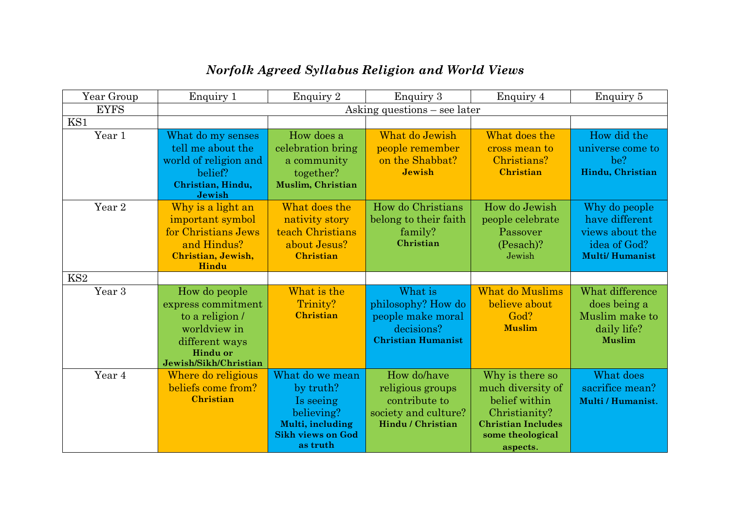| Year Group        | Enquiry 1                                                                                                                            | Enquiry 2                                                                                                           | <b>Enquiry 3</b>                                                                              | Enquiry 4                                                                                                                           | Enquiry 5                                                                                   |  |
|-------------------|--------------------------------------------------------------------------------------------------------------------------------------|---------------------------------------------------------------------------------------------------------------------|-----------------------------------------------------------------------------------------------|-------------------------------------------------------------------------------------------------------------------------------------|---------------------------------------------------------------------------------------------|--|
| <b>EYFS</b>       | Asking questions – see later                                                                                                         |                                                                                                                     |                                                                                               |                                                                                                                                     |                                                                                             |  |
| KS1               |                                                                                                                                      |                                                                                                                     |                                                                                               |                                                                                                                                     |                                                                                             |  |
| Year 1            | What do my senses<br>tell me about the<br>world of religion and<br>belief?<br>Christian, Hindu,<br>Jewish                            | How does a<br>celebration bring<br>a community<br>together?<br>Muslim, Christian                                    | What do Jewish<br>people remember<br>on the Shabbat?<br><b>Jewish</b>                         | What does the<br>cross mean to<br>Christians?<br><b>Christian</b>                                                                   | How did the<br>universe come to<br>be?<br>Hindu, Christian                                  |  |
| Year <sub>2</sub> | Why is a light an<br>important symbol<br>for Christians Jews<br>and Hindus?<br>Christian, Jewish,<br>Hindu                           | What does the<br>nativity story<br>teach Christians<br>about Jesus?<br><b>Christian</b>                             | How do Christians<br>belong to their faith<br>family?<br>Christian                            | How do Jewish<br>people celebrate<br>Passover<br>$(Pesach)$ ?<br>Jewish                                                             | Why do people<br>have different<br>views about the<br>idea of God?<br><b>Multi/Humanist</b> |  |
| KS <sub>2</sub>   |                                                                                                                                      |                                                                                                                     |                                                                                               |                                                                                                                                     |                                                                                             |  |
| Year 3            | How do people<br>express commitment<br>to a religion /<br>worldview in<br>different ways<br><b>Hindu or</b><br>Jewish/Sikh/Christian | What is the<br>Trinity?<br><b>Christian</b>                                                                         | What is<br>philosophy? How do<br>people make moral<br>decisions?<br><b>Christian Humanist</b> | What do Muslims<br>believe about<br>God?<br><b>Muslim</b>                                                                           | What difference<br>does being a<br>Muslim make to<br>daily life?<br><b>Muslim</b>           |  |
| Year 4            | Where do religious<br>beliefs come from?<br><b>Christian</b>                                                                         | What do we mean<br>by truth?<br>Is seeing<br>believing?<br>Multi, including<br><b>Sikh views on God</b><br>as truth | How do/have<br>religious groups<br>contribute to<br>society and culture?<br>Hindu / Christian | Why is there so<br>much diversity of<br>belief within<br>Christianity?<br><b>Christian Includes</b><br>some theological<br>aspects. | What does<br>sacrifice mean?<br>Multi / Humanist.                                           |  |

## *Norfolk Agreed Syllabus Religion and World Views*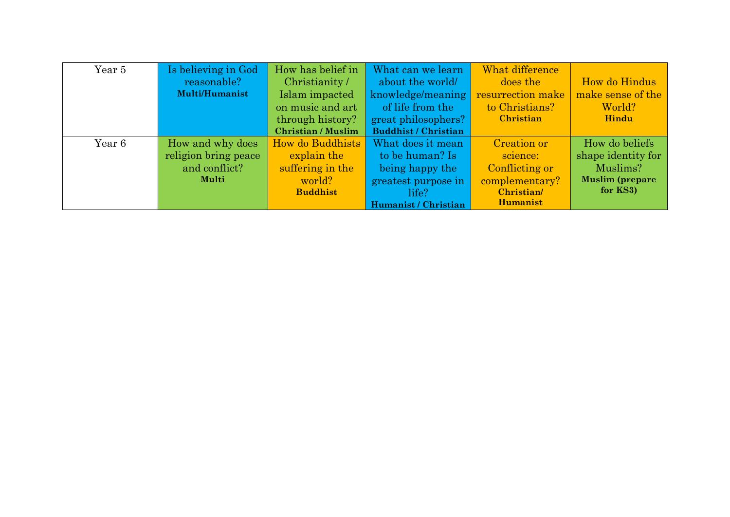| Year 5 | Is believing in God   | How has belief in         | What can we learn           | What difference   |                        |
|--------|-----------------------|---------------------------|-----------------------------|-------------------|------------------------|
|        | reasonable?           | Christianity /            | about the world             | does the          | How do Hindus          |
|        | <b>Multi/Humanist</b> | Islam impacted            | knowledge/meaning           | resurrection make | make sense of the      |
|        |                       | on music and art          | of life from the            | to Christians?    | World?                 |
|        |                       | through history?          | great philosophers?         | <b>Christian</b>  | Hindu                  |
|        |                       | <b>Christian / Muslim</b> | <b>Buddhist / Christian</b> |                   |                        |
| Year 6 | How and why does      | How do Buddhists          | What does it mean           | Creation or       | How do beliefs         |
|        | religion bring peace  | explain the               | to be human? Is             | science:          | shape identity for     |
|        | and conflict?         | suffering in the          | being happy the             | Conflicting or    | Muslims?               |
|        | Multi                 | world?                    | greatest purpose in         | complementary?    | <b>Muslim (prepare</b> |
|        |                       | <b>Buddhist</b>           | life?                       | Christian/        | for KS3)               |
|        |                       |                           | Humanist / Christian        | <b>Humanist</b>   |                        |